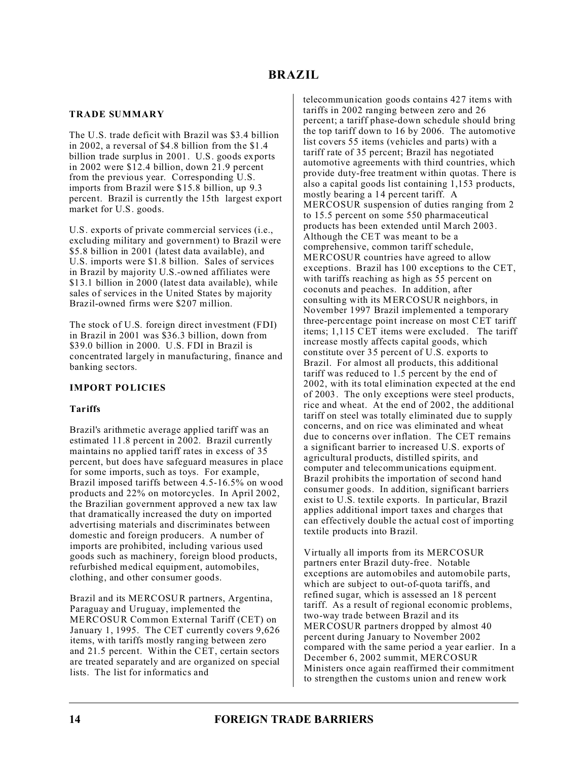# **TRADE SUMMARY**

The U.S. trade deficit with Brazil was \$3.4 billion in 2002, a reversal of \$4.8 billion from the \$1.4 billion trade surplus in 2001. U.S. goods exports in 2002 were \$12.4 billion, down 21.9 percent from the previous year. Corresponding U.S. imports from Brazil were \$15.8 billion, up 9.3 percent. Brazil is currently the 15th largest export market for U.S. goods.

U.S. exports of private commercial services (i.e., excluding military and government) to Brazil were \$5.8 billion in 2001 (latest data available), and U.S. imports were \$1.8 billion. Sales of services in Brazil by majority U.S.-owned affiliates were \$13.1 billion in 2000 (latest data available), while sales of services in the United States by majority Brazil-owned firms were \$207 million.

The stock of U.S. foreign direct investment (FDI) in Brazil in 2001 was \$36.3 billion, down from \$39.0 billion in 2000. U.S. FDI in Brazil is concentrated largely in manufacturing, finance and banking sectors.

# **IMPORT POLICIES**

## **Tariffs**

Brazil's arithmetic average applied tariff was an estimated 11.8 percent in 2002. Brazil currently maintains no applied tariff rates in excess of 35 percent, but does have safeguard measures in place for some imports, such as toys. For example, Brazil imposed tariffs between 4.5-16.5% on wood products and 22% on motorcycles. In April 2002, the Brazilian government approved a new tax law that dramatically increased the duty on imported advertising materials and discriminates between domestic and foreign producers. A number of imports are prohibited, including various used goods such as machinery, foreign blood products, refurbished medical equipment, automobiles, clothing, and other consumer goods.

Brazil and its MERCOSUR partners, Argentina, Paraguay and Uruguay, implemented the MERCOSUR Common External Tariff (CET) on January 1, 1995. The CET currently covers 9,626 items, with tariffs mostly ranging between zero and 21.5 percent. Within the CET, certain sectors are treated separately and are organized on special lists. The list for informatics and

telecommunication goods contains 427 items with tariffs in 2002 ranging between zero and 26 percent; a tariff phase-down schedule should bring the top tariff down to 16 by 2006. The automotive list covers 55 items (vehicles and parts) with a tariff rate of 35 percent; Brazil has negotiated automotive agreements with third countries, which provide duty-free treatment within quotas. There is also a capital goods list containing 1,153 products, mostly bearing a 14 percent tariff. A MERCOSUR suspension of duties ranging from 2 to 15.5 percent on some 550 pharmaceutical products has been extended until March 2003. Although the CET was meant to be a comprehensive, common tariff schedule, MERCOSUR countries have agreed to allow exceptions. Brazil has 100 exceptions to the CET, with tariffs reaching as high as 55 percent on coconuts and peaches. In addition, after consulting with its MERCOSUR neighbors, in November 1997 Brazil implemented a temporary three-percentage point increase on most CET tariff items; 1,115 CET items were excluded. The tariff increase mostly affects capital goods, which constitute over 35 percent of U.S. exports to Brazil. For almost all products, this additional tariff was reduced to 1.5 percent by the end of 2002, with its total elimination expected at the end of 2003. The only exceptions were steel products, rice and wheat. At the end of 2002, the additional tariff on steel was totally eliminated due to supply concerns, and on rice was eliminated and wheat due to concerns over inflation. The CET remains a significant barrier to increased U.S. exports of agricultural products, distilled spirits, and computer and telecommunications equipment. Brazil prohibits the importation of second hand consumer goods. In addition, significant barriers exist to U.S. textile exports. In particular, Brazil applies additional import taxes and charges that can effectively double the actual cost of importing textile products into Brazil.

Virtually all imports from its MERCOSUR partners enter Brazil duty-free. Notable exceptions are automobiles and automobile parts, which are subject to out-of-quota tariffs, and refined sugar, which is assessed an 18 percent tariff. As a result of regional economic problems, two-way trade between Brazil and its MERCOSUR partners dropped by almost 40 percent during January to November 2002 compared with the same period a year earlier. In a December 6, 2002 summit, MERCOSUR Ministers once again reaffirmed their commitment to strengthen the customs union and renew work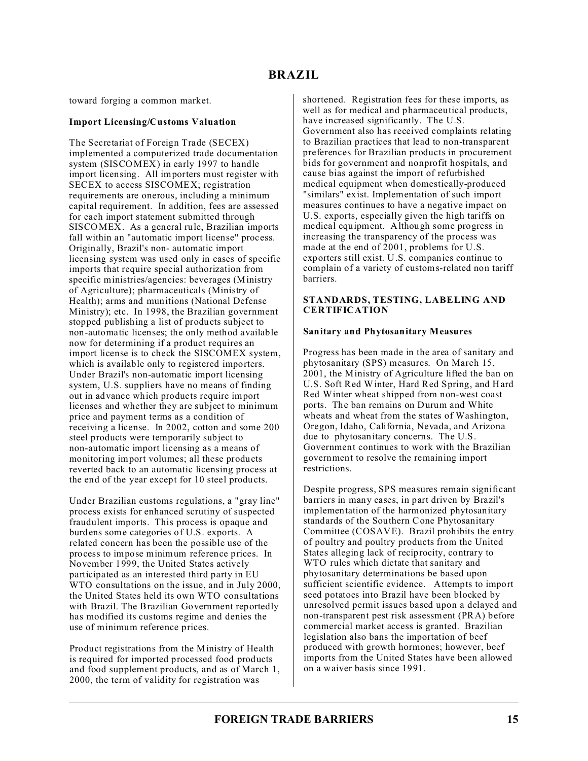toward forging a common market.

## **Import Licensing/Customs Valuation**

The Secretariat of Foreign Trade (SECEX) implemented a computerized trade documentation system (SISCOMEX) in early 1997 to handle import licensing. All importers must register with SECEX to access SISCOMEX; registration requirements are onerous, including a minimum capital requirement. In addition, fees are assessed for each import statement submitted through SISCOMEX. As a general rule, Brazilian imports fall within an "automatic import license" process. Originally, Brazil's non- automatic import licensing system was used only in cases of specific imports that require special authorization from specific ministries/agencies: beverages (Ministry of Agriculture); pharmaceuticals (Ministry of Health); arms and munitions (National Defense Ministry); etc. In 1998, the Brazilian government stopped publishing a list of products subject to non-automatic licenses; the only method available now for determining if a product requires an import license is to check the SISCOMEX system, which is available only to registered importers. Under Brazil's non-automatic import licensing system, U.S. suppliers have no means of finding out in advance which products require import licenses and whether they are subject to minimum price and payment terms as a condition of receiving a license. In 2002, cotton and some 200 steel products were temporarily subject to non-automatic import licensing as a means of monitoring import volumes; all these products reverted back to an automatic licensing process at the end of the year except for 10 steel products.

Under Brazilian customs regulations, a "gray line" process exists for enhanced scrutiny of suspected fraudulent imports. This process is opaque and burdens some categories of U.S. exports. A related concern has been the possible use of the process to impose minimum reference prices. In November 1999, the United States actively participated as an interested third party in EU WTO consultations on the issue, and in July 2000, the United States held its own WTO consultations with Brazil. The Brazilian Government reportedly has modified its customs regime and denies the use of minimum reference prices.

Product registrations from the Ministry of Health is required for imported processed food products and food supplement products, and as of March 1, 2000, the term of validity for registration was

shortened. Registration fees for these imports, as well as for medical and pharmaceutical products, have increased significantly. The U.S. Government also has received complaints relating to Brazilian practices that lead to non-transparent preferences for Brazilian products in procurement bids for government and nonprofit hospitals, and cause bias against the import of refurbished medical equipment when domestically-produced "similars" exist. Implementation of such import measures continues to have a negative impact on U.S. exports, especially given the high tariffs on medical equipment. Although some progress in increasing the transparency of the process was made at the end of 2001, problems for U.S. exporters still exist. U.S. companies continue to complain of a variety of customs-related non tariff barriers.

## **STANDARDS, TESTING, LABELING AND CERTIFICATION**

## **Sanitary and Phytosanitary Measures**

Progress has been made in the area of sanitary and phytosanitary (SPS) measures. On March 15, 2001, the Ministry of Agriculture lifted the ban on U.S. Soft Red Winter, Hard Red Spring, and Hard Red Winter wheat shipped from non-west coast ports. The ban remains on Durum and White wheats and wheat from the states of Washington, Oregon, Idaho, California, Nevada, and Arizona due to phytosanitary concerns. The U.S. Government continues to work with the Brazilian government to resolve the remaining import restrictions.

Despite progress, SPS measures remain significant barriers in many cases, in part driven by Brazil's implementation of the harmonized phytosanitary standards of the Southern Cone Phytosanitary Committee (COSAVE). Brazil prohibits the entry of poultry and poultry products from the United States alleging lack of reciprocity, contrary to WTO rules which dictate that sanitary and phytosanitary determinations be based upon sufficient scientific evidence. Attempts to import seed potatoes into Brazil have been blocked by unresolved permit issues based upon a delayed and non-transparent pest risk assessment (PRA) before commercial market access is granted. Brazilian legislation also bans the importation of beef produced with growth hormones; however, beef imports from the United States have been allowed on a waiver basis since 1991.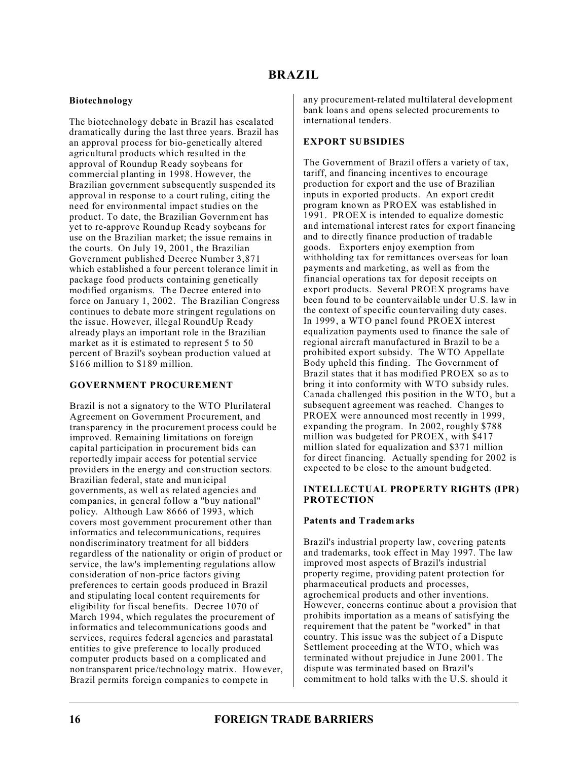# **Biotechnology**

The biotechnology debate in Brazil has escalated dramatically during the last three years. Brazil has an approval process for bio-genetically altered agricultural products which resulted in the approval of Roundup Ready soybeans for commercial planting in 1998. However, the Brazilian government subsequently suspended its approval in response to a court ruling, citing the need for environmental impact studies on the product. To date, the Brazilian Government has yet to re-approve Roundup Ready soybeans for use on the Brazilian market; the issue remains in the courts. On July 19, 2001, the Brazilian Government published Decree Number 3,871 which established a four percent tolerance limit in package food products containing genetically modified organisms. The Decree entered into force on January 1, 2002. The Brazilian Congress continues to debate more stringent regulations on the issue. However, illegal RoundUp Ready already plays an important role in the Brazilian market as it is estimated to represent 5 to 50 percent of Brazil's soybean production valued at \$166 million to \$189 million.

## **GOVERNMENT PROCUREMENT**

Brazil is not a signatory to the WTO Plurilateral Agreement on Government Procurement, and transparency in the procurement process could be improved. Remaining limitations on foreign capital participation in procurement bids can reportedly impair access for potential service providers in the energy and construction sectors. Brazilian federal, state and municipal governments, as well as related agencies and companies, in general follow a "buy national" policy. Although Law 8666 of 1993, which covers most government procurement other than informatics and telecommunications, requires nondiscriminatory treatment for all bidders regardless of the nationality or origin of product or service, the law's implementing regulations allow consideration of non-price factors giving preferences to certain goods produced in Brazil and stipulating local content requirements for eligibility for fiscal benefits. Decree 1070 of March 1994, which regulates the procurement of informatics and telecommunications goods and services, requires federal agencies and parastatal entities to give preference to locally produced computer products based on a complicated and nontransparent price/technology matrix. However, Brazil permits foreign companies to compete in

any procurement-related multilateral development bank loans and opens selected procurements to international tenders.

## **EXPORT SUBSIDIES**

The Government of Brazil offers a variety of tax, tariff, and financing incentives to encourage production for export and the use of Brazilian inputs in exported products. An export credit program known as PROEX was established in 1991. PROEX is intended to equalize domestic and international interest rates for export financing and to directly finance production of tradable goods. Exporters enjoy exemption from withholding tax for remittances overseas for loan payments and marketing, as well as from the financial operations tax for deposit receipts on export products. Several PROEX programs have been found to be countervailable under U.S. law in the context of specific countervailing duty cases. In 1999, a WTO panel found PROEX interest equalization payments used to finance the sale of regional aircraft manufactured in Brazil to be a prohibited export subsidy. The WTO Appellate Body upheld this finding. The Government of Brazil states that it has modified PROEX so as to bring it into conformity with WTO subsidy rules. Canada challenged this position in the WTO, but a subsequent agreement was reached. Changes to PROEX were announced most recently in 1999, expanding the program. In 2002, roughly \$788 million was budgeted for PROEX, with \$417 million slated for equalization and \$371 million for direct financing. Actually spending for 2002 is expected to be close to the amount budgeted.

## **INTELLECTUAL PROPERTY RIGHTS (IPR) PROTECTION**

## **Patents and Trademarks**

Brazil's industrial property law, covering patents and trademarks, took effect in May 1997. The law improved most aspects of Brazil's industrial property regime, providing patent protection for pharmaceutical products and processes, agrochemical products and other inventions. However, concerns continue about a provision that prohibits importation as a means of satisfying the requirement that the patent be "worked" in that country. This issue was the subject of a Dispute Settlement proceeding at the WTO, which was terminated without prejudice in June 2001. The dispute was terminated based on Brazil's commitment to hold talks with the U.S. should it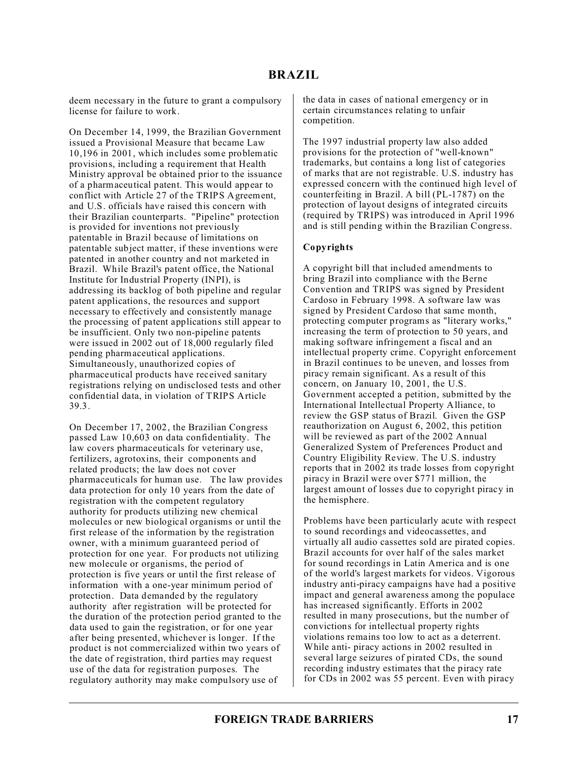# **BRAZIL**

deem necessary in the future to grant a compulsory license for failure to work.

On December 14, 1999, the Brazilian Government issued a Provisional Measure that became Law 10,196 in 2001, which includes some problematic provisions, including a requirement that Health Ministry approval be obtained prior to the issuance of a pharmaceutical patent. This would appear to conflict with Article 27 of the TRIPS Agreement, and U.S. officials have raised this concern with their Brazilian counterparts. "Pipeline" protection is provided for inventions not previously patentable in Brazil because of limitations on patentable subject matter, if these inventions were patented in another country and not marketed in Brazil. While Brazil's patent office, the National Institute for Industrial Property (INPI), is addressing its backlog of both pipeline and regular patent applications, the resources and support necessary to effectively and consistently manage the processing of patent applications still appear to be insufficient. Only two non-pipeline patents were issued in 2002 out of 18,000 regularly filed pending pharmaceutical applications. Simultaneously, unauthorized copies of pharmaceutical products have received sanitary registrations relying on undisclosed tests and other confidential data, in violation of TRIPS Article 39.3.

On December 17, 2002, the Brazilian Congress passed Law 10,603 on data confidentiality. The law covers pharmaceuticals for veterinary use, fertilizers, agrotoxins, their components and related products; the law does not cover pharmaceuticals for human use. The law provides data protection for only 10 years from the date of registration with the competent regulatory authority for products utilizing new chemical molecules or new biological organisms or until the first release of the information by the registration owner, with a minimum guaranteed period of protection for one year. For products not utilizing new molecule or organisms, the period of protection is five years or until the first release of information with a one-year minimum period of protection. Data demanded by the regulatory authority after registration will be protected for the duration of the protection period granted to the data used to gain the registration, or for one year after being presented, whichever is longer. If the product is not commercialized within two years of the date of registration, third parties may request use of the data for registration purposes. The regulatory authority may make compulsory use of

the data in cases of national emergency or in certain circumstances relating to unfair competition.

The 1997 industrial property law also added provisions for the protection of "well-known" trademarks, but contains a long list of categories of marks that are not registrable. U.S. industry has expressed concern with the continued high level of counterfeiting in Brazil. A bill (PL-1787) on the protection of layout designs of integrated circuits (required by TRIPS) was introduced in April 1996 and is still pending within the Brazilian Congress.

## **Copyrights**

A copyright bill that included amendments to bring Brazil into compliance with the Berne Convention and TRIPS was signed by President Cardoso in February 1998. A software law was signed by President Cardoso that same month, protecting computer programs as "literary works," increasing the term of protection to 50 years, and making software infringement a fiscal and an intellectual property crime. Copyright enforcement in Brazil continues to be uneven, and losses from piracy remain significant. As a result of this concern, on January 10, 2001, the U.S. Government accepted a petition, submitted by the International Intellectual Property Alliance, to review the GSP status of Brazil. Given the GSP reauthorization on August 6, 2002, this petition will be reviewed as part of the 2002 Annual Generalized System of Preferences Product and Country Eligibility Review. The U.S. industry reports that in 2002 its trade losses from copyright piracy in Brazil were over \$771 million, the largest amount of losses due to copyright piracy in the hemisphere.

Problems have been particularly acute with respect to sound recordings and videocassettes, and virtually all audio cassettes sold are pirated copies. Brazil accounts for over half of the sales market for sound recordings in Latin America and is one of the world's largest markets for videos. Vigorous industry anti-piracy campaigns have had a positive impact and general awareness among the populace has increased significantly. Efforts in 2002 resulted in many prosecutions, but the number of convictions for intellectual property rights violations remains too low to act as a deterrent. While anti- piracy actions in 2002 resulted in several large seizures of pirated CDs, the sound recording industry estimates that the piracy rate for CDs in 2002 was 55 percent. Even with piracy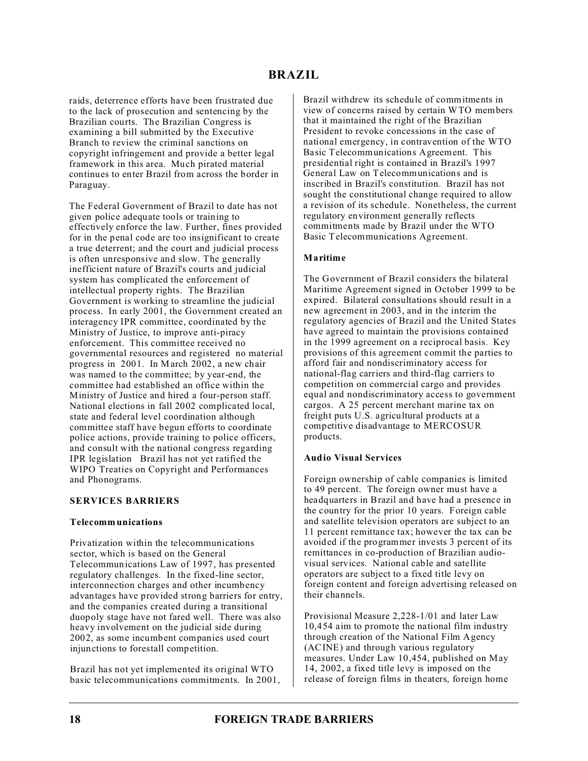raids, deterrence efforts have been frustrated due to the lack of prosecution and sentencing by the Brazilian courts. The Brazilian Congress is examining a bill submitted by the Executive Branch to review the criminal sanctions on copyright infringement and provide a better legal framework in this area. Much pirated material continues to enter Brazil from across the border in Paraguay.

The Federal Government of Brazil to date has not given police adequate tools or training to effectively enforce the law. Further, fines provided for in the penal code are too insignificant to create a true deterrent; and the court and judicial process is often unresponsive and slow. The generally inefficient nature of Brazil's courts and judicial system has complicated the enforcement of intellectual property rights. The Brazilian Government is working to streamline the judicial process. In early 2001, the Government created an interagency IPR committee, coordinated by the Ministry of Justice, to improve anti-piracy enforcement. This committee received no governmental resources and registered no material progress in 2001. In March 2002, a new chair was named to the committee; by year-end, the committee had established an office within the Ministry of Justice and hired a four-person staff. National elections in fall 2002 complicated local, state and federal level coordination although committee staff have begun efforts to coordinate police actions, provide training to police officers, and consult with the national congress regarding IPR legislation Brazil has not yet ratified the WIPO Treaties on Copyright and Performances and Phonograms.

## **SERVICES BARRIERS**

### **Telecommunications**

Privatization within the telecommunications sector, which is based on the General Telecommunications Law of 1997, has presented regulatory challenges. In the fixed-line sector, interconnection charges and other incumbency advantages have provided strong barriers for entry, and the companies created during a transitional duopoly stage have not fared well. There was also heavy involvement on the judicial side during 2002, as some incumbent companies used court injunctions to forestall competition.

Brazil has not yet implemented its original WTO basic telecommunications commitments. In 2001, Brazil withdrew its schedule of commitments in view of concerns raised by certain WTO members that it maintained the right of the Brazilian President to revoke concessions in the case of national emergency, in contravention of the WTO Basic Telecommunications Agreement. This presidential right is contained in Brazil's 1997 General Law on Telecommunications and is inscribed in Brazil's constitution. Brazil has not sought the constitutional change required to allow a revision of its schedule. Nonetheless, the current regulatory environment generally reflects commitments made by Brazil under the WTO Basic Telecommunications Agreement.

## **Maritime**

The Government of Brazil considers the bilateral Maritime Agreement signed in October 1999 to be expired. Bilateral consultations should result in a new agreement in 2003, and in the interim the regulatory agencies of Brazil and the United States have agreed to maintain the provisions contained in the 1999 agreement on a reciprocal basis. Key provisions of this agreement commit the parties to afford fair and nondiscriminatory access for national-flag carriers and third-flag carriers to competition on commercial cargo and provides equal and nondiscriminatory access to government cargos. A 25 percent merchant marine tax on freight puts U.S. agricultural products at a competitive disadvantage to MERCOSUR products.

### **Audio Visual Services**

Foreign ownership of cable companies is limited to 49 percent. The foreign owner must have a headquarters in Brazil and have had a presence in the country for the prior 10 years. Foreign cable and satellite television operators are subject to an 11 percent remittance tax; however the tax can be avoided if the programmer invests 3 percent of its remittances in co-production of Brazilian audiovisual services. National cable and satellite operators are subject to a fixed title levy on foreign content and foreign advertising released on their channels.

Provisional Measure 2,228-1/01 and later Law 10,454 aim to promote the national film industry through creation of the National Film Agency (ACINE) and through various regulatory measures. Under Law 10,454, published on May 14, 2002, a fixed title levy is imposed on the release of foreign films in theaters, foreign home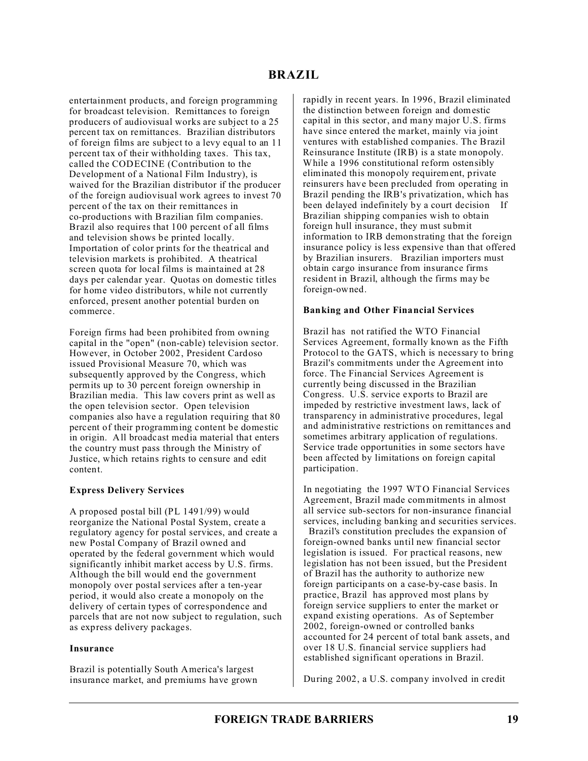entertainment products, and foreign programming for broadcast television. Remittances to foreign producers of audiovisual works are subject to a 25 percent tax on remittances. Brazilian distributors of foreign films are subject to a levy equal to an 11 percent tax of their withholding taxes. This tax, called the CODECINE (Contribution to the Development of a National Film Industry), is waived for the Brazilian distributor if the producer of the foreign audiovisual work agrees to invest 70 percent of the tax on their remittances in co-productions with Brazilian film companies. Brazil also requires that 100 percent of all films and television shows be printed locally. Importation of color prints for the theatrical and television markets is prohibited. A theatrical screen quota for local films is maintained at 28 days per calendar year. Quotas on domestic titles for home video distributors, while not currently enforced, present another potential burden on commerce.

Foreign firms had been prohibited from owning capital in the "open" (non-cable) television sector. However, in October 2002, President Cardoso issued Provisional Measure 70, which was subsequently approved by the Congress, which permits up to 30 percent foreign ownership in Brazilian media. This law covers print as well as the open television sector. Open television companies also have a regulation requiring that 80 percent of their programming content be domestic in origin. All broadcast media material that enters the country must pass through the Ministry of Justice, which retains rights to censure and edit content.

## **Express Delivery Services**

A proposed postal bill (PL 1491/99) would reorganize the National Postal System, create a regulatory agency for postal services, and create a new Postal Company of Brazil owned and operated by the federal government which would significantly inhibit market access by U.S. firms. Although the bill would end the government monopoly over postal services after a ten-year period, it would also create a monopoly on the delivery of certain types of correspondence and parcels that are not now subject to regulation, such as express delivery packages.

### **Insurance**

Brazil is potentially South America's largest insurance market, and premiums have grown rapidly in recent years. In 1996, Brazil eliminated the distinction between foreign and domestic capital in this sector, and many major U.S. firms have since entered the market, mainly via joint ventures with established companies. The Brazil Reinsurance Institute (IRB) is a state monopoly. While a 1996 constitutional reform ostensibly eliminated this monopoly requirement, private reinsurers have been precluded from operating in Brazil pending the IRB's privatization, which has been delayed indefinitely by a court decision If Brazilian shipping companies wish to obtain foreign hull insurance, they must submit information to IRB demonstrating that the foreign insurance policy is less expensive than that offered by Brazilian insurers. Brazilian importers must obtain cargo insurance from insurance firms resident in Brazil, although the firms may be foreign-owned.

### **Banking and Other Financial Services**

Brazil has not ratified the WTO Financial Services Agreement, formally known as the Fifth Protocol to the GATS, which is necessary to bring Brazil's commitments under the Agreement into force. The Financial Services Agreement is currently being discussed in the Brazilian Congress. U.S. service exports to Brazil are impeded by restrictive investment laws, lack of transparency in administrative procedures, legal and administrative restrictions on remittances and sometimes arbitrary application of regulations. Service trade opportunities in some sectors have been affected by limitations on foreign capital participation.

In negotiating the 1997 WTO Financial Services Agreement, Brazil made commitments in almost all service sub-sectors for non-insurance financial services, including banking and securities services.

 Brazil's constitution precludes the expansion of foreign-owned banks until new financial sector legislation is issued. For practical reasons, new legislation has not been issued, but the President of Brazil has the authority to authorize new foreign participants on a case-by-case basis. In practice, Brazil has approved most plans by foreign service suppliers to enter the market or expand existing operations. As of September 2002, foreign-owned or controlled banks accounted for 24 percent of total bank assets, and over 18 U.S. financial service suppliers had established significant operations in Brazil.

During 2002, a U.S. company involved in credit